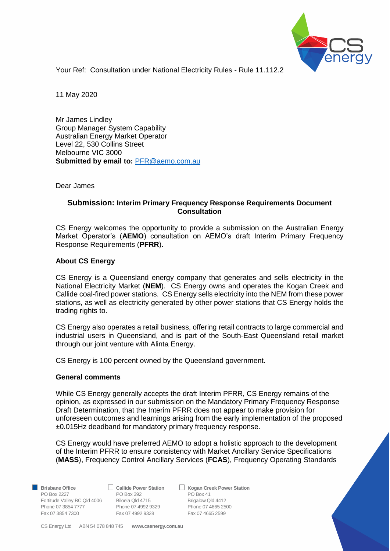

Your Ref: Consultation under National Electricity Rules - Rule 11.112.2

11 May 2020

Mr James Lindley Group Manager System Capability Australian Energy Market Operator Level 22, 530 Collins Street Melbourne VIC 3000 **Submitted by email to:** [PFR@aemo.com.au](mailto:PFR@aemo.com.au)

Dear James

## **Submission: Interim Primary Frequency Response Requirements Document Consultation**

CS Energy welcomes the opportunity to provide a submission on the Australian Energy Market Operator's (**AEMO**) consultation on AEMO's draft Interim Primary Frequency Response Requirements (**PFRR**).

## **About CS Energy**

CS Energy is a Queensland energy company that generates and sells electricity in the National Electricity Market (**NEM**). CS Energy owns and operates the Kogan Creek and Callide coal-fired power stations. CS Energy sells electricity into the NEM from these power stations, as well as electricity generated by other power stations that CS Energy holds the trading rights to.

CS Energy also operates a retail business, offering retail contracts to large commercial and industrial users in Queensland, and is part of the South-East Queensland retail market through our joint venture with Alinta Energy.

CS Energy is 100 percent owned by the Queensland government.

## **General comments**

While CS Energy generally accepts the draft Interim PFRR, CS Energy remains of the opinion, as expressed in our submission on the Mandatory Primary Frequency Response Draft Determination, that the Interim PFRR does not appear to make provision for unforeseen outcomes and learnings arising from the early implementation of the proposed ±0.015Hz deadband for mandatory primary frequency response.

CS Energy would have preferred AEMO to adopt a holistic approach to the development of the Interim PFRR to ensure consistency with Market Ancillary Service Specifications (**MASS**), Frequency Control Ancillary Services (**FCAS**), Frequency Operating Standards

PO Box 2227 PO Box 392 PO Box 41 Fortitude Valley BC Qld 4006 Biloela Qld 4715 Brigalow Qld 4412 Phone 07 3854 7777 Phone 07 4992 9329 Phone 07 4665 2500<br>
Fax 07 3854 7300 Fax 07 4992 9328 Fax 07 4665 2599 Fax 07 3854 7300 Fax 07 4992 9328

■ Brisbane Office **Brish Callide Power Station Britan** Kogan Creek Power Station

CS Energy Ltd ABN 54 078 848 745 **www.csenergy.com.au**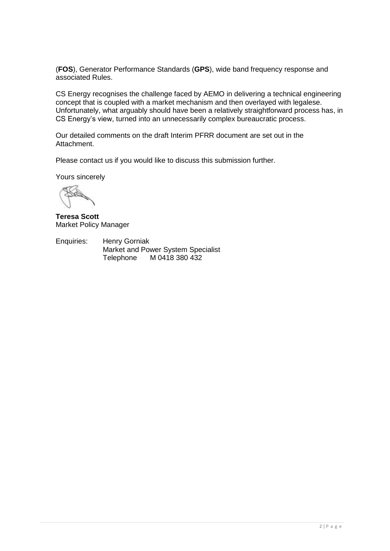(**FOS**), Generator Performance Standards (**GPS**), wide band frequency response and associated Rules.

CS Energy recognises the challenge faced by AEMO in delivering a technical engineering concept that is coupled with a market mechanism and then overlayed with legalese. Unfortunately, what arguably should have been a relatively straightforward process has, in CS Energy's view, turned into an unnecessarily complex bureaucratic process.

Our detailed comments on the draft Interim PFRR document are set out in the Attachment.

Please contact us if you would like to discuss this submission further.

Yours sincerely

**Teresa Scott** Market Policy Manager

Enquiries: Henry Gorniak Market and Power System Specialist Telephone M 0418 380 432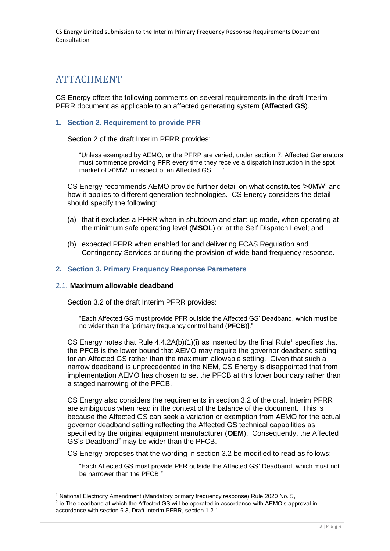# ATTACHMENT

CS Energy offers the following comments on several requirements in the draft Interim PFRR document as applicable to an affected generating system (**Affected GS**).

#### **1. Section 2. Requirement to provide PFR**

Section 2 of the draft Interim PFRR provides:

"Unless exempted by AEMO, or the PFRP are varied, under section 7, Affected Generators must commence providing PFR every time they receive a dispatch instruction in the spot market of >0MW in respect of an Affected GS … ."

CS Energy recommends AEMO provide further detail on what constitutes '>0MW' and how it applies to different generation technologies. CS Energy considers the detail should specify the following:

- (a) that it excludes a PFRR when in shutdown and start-up mode, when operating at the minimum safe operating level (**MSOL**) or at the Self Dispatch Level; and
- (b) expected PFRR when enabled for and delivering FCAS Regulation and Contingency Services or during the provision of wide band frequency response.

#### **2. Section 3. Primary Frequency Response Parameters**

#### 2.1. **Maximum allowable deadband**

1

Section 3.2 of the draft Interim PFRR provides:

"Each Affected GS must provide PFR outside the Affected GS' Deadband, which must be no wider than the [primary frequency control band (**PFCB**)]."

CS Energy notes that Rule  $4.4.2A(b)(1)(i)$  as inserted by the final Rule<sup>1</sup> specifies that the PFCB is the lower bound that AEMO may require the governor deadband setting for an Affected GS rather than the maximum allowable setting. Given that such a narrow deadband is unprecedented in the NEM, CS Energy is disappointed that from implementation AEMO has chosen to set the PFCB at this lower boundary rather than a staged narrowing of the PFCB.

CS Energy also considers the requirements in section 3.2 of the draft Interim PFRR are ambiguous when read in the context of the balance of the document. This is because the Affected GS can seek a variation or exemption from AEMO for the actual governor deadband setting reflecting the Affected GS technical capabilities as specified by the original equipment manufacturer (**OEM**). Consequently, the Affected GS's Deadband<sup>2</sup> may be wider than the PFCB.

CS Energy proposes that the wording in section 3.2 be modified to read as follows:

"Each Affected GS must provide PFR outside the Affected GS' Deadband, which must not be narrower than the PFCB."

<sup>&</sup>lt;sup>1</sup> National Electricity Amendment (Mandatory primary frequency response) Rule 2020 No. 5,

 $^2$  ie The deadband at which the Affected GS will be operated in accordance with AEMO's approval in accordance with section 6.3, Draft Interim PFRR, section 1.2.1.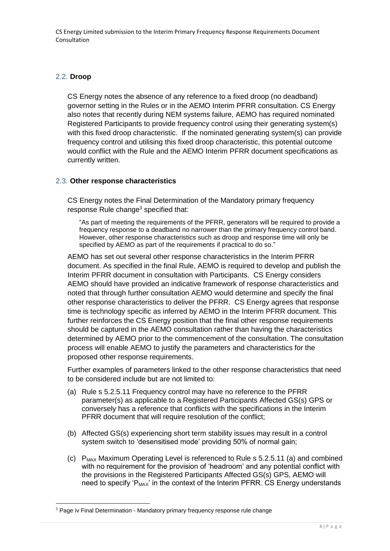# 2.2. **Droop**

1

CS Energy notes the absence of any reference to a fixed droop (no deadband) governor setting in the Rules or in the AEMO Interim PFRR consultation. CS Energy also notes that recently during NEM systems failure, AEMO has required nominated Registered Participants to provide frequency control using their generating system(s) with this fixed droop characteristic. If the nominated generating system(s) can provide frequency control and utilising this fixed droop characteristic, this potential outcome would conflict with the Rule and the AEMO Interim PFRR document specifications as currently written.

## 2.3. **Other response characteristics**

CS Energy notes the Final Determination of the Mandatory primary frequency response Rule change<sup>3</sup> specified that:

"As part of meeting the requirements of the PFRR, generators will be required to provide a frequency response to a deadband no narrower than the primary frequency control band. However, other response characteristics such as droop and response time will only be specified by AEMO as part of the requirements if practical to do so."

AEMO has set out several other response characteristics in the Interim PFRR document. As specified in the final Rule, AEMO is required to develop and publish the Interim PFRR document in consultation with Participants. CS Energy considers AEMO should have provided an indicative framework of response characteristics and noted that through further consultation AEMO would determine and specify the final other response characteristics to deliver the PFRR. CS Energy agrees that response time is technology specific as inferred by AEMO in the Interim PFRR document. This further reinforces the CS Energy position that the final other response requirements should be captured in the AEMO consultation rather than having the characteristics determined by AEMO prior to the commencement of the consultation. The consultation process will enable AEMO to justify the parameters and characteristics for the proposed other response requirements.

Further examples of parameters linked to the other response characteristics that need to be considered include but are not limited to:

- (a) Rule s 5.2.5.11 Frequency control may have no reference to the PFRR parameter(s) as applicable to a Registered Participants Affected GS(s) GPS or conversely has a reference that conflicts with the specifications in the Interim PFRR document that will require resolution of the conflict;
- (b) Affected GS(s) experiencing short term stability issues may result in a control system switch to 'desensitised mode' providing 50% of normal gain;
- (c)  $P_{MAX}$  Maximum Operating Level is referenced to Rule s 5.2.5.11 (a) and combined with no requirement for the provision of 'headroom' and any potential conflict with the provisions in the Registered Participants Affected GS(s) GPS, AEMO will need to specify ' $P_{MAX}$ ' in the context of the Interim PFRR. CS Energy understands

<sup>&</sup>lt;sup>3</sup> Page iv Final Determination - Mandatory primary frequency response rule change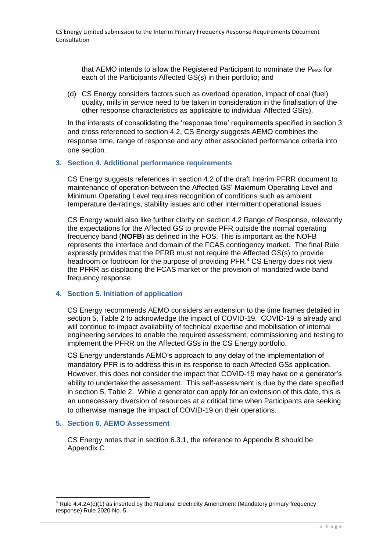that AEMO intends to allow the Registered Participant to nominate the  $P_{MAX}$  for each of the Participants Affected GS(s) in their portfolio; and

(d) CS Energy considers factors such as overload operation, impact of coal (fuel) quality, mills in service need to be taken in consideration in the finalisation of the other response characteristics as applicable to individual Affected GS(s).

In the interests of consolidating the 'response time' requirements specified in section 3 and cross referenced to section 4.2, CS Energy suggests AEMO combines the response time, range of response and any other associated performance criteria into one section.

#### **3. Section 4. Additional performance requirements**

CS Energy suggests references in section 4.2 of the draft Interim PFRR document to maintenance of operation between the Affected GS' Maximum Operating Level and Minimum Operating Level requires recognition of conditions such as ambient temperature de-ratings, stability issues and other intermittent operational issues.

CS Energy would also like further clarity on section 4.2 Range of Response, relevantly the expectations for the Affected GS to provide PFR outside the normal operating frequency band (**NOFB**) as defined in the FOS. This is important as the NOFB represents the interface and domain of the FCAS contingency market. The final Rule expressly provides that the PFRR must not require the Affected GS(s) to provide headroom or footroom for the purpose of providing PFR. <sup>4</sup> CS Energy does not view the PFRR as displacing the FCAS market or the provision of mandated wide band frequency response.

#### **4. Section 5. Initiation of application**

CS Energy recommends AEMO considers an extension to the time frames detailed in section 5, Table 2 to acknowledge the impact of COVID-19. COVID-19 is already and will continue to impact availability of technical expertise and mobilisation of internal engineering services to enable the required assessment, commissioning and testing to implement the PFRR on the Affected GSs in the CS Energy portfolio.

CS Energy understands AEMO's approach to any delay of the implementation of mandatory PFR is to address this in its response to each Affected GSs application. However, this does not consider the impact that COVID-19 may have on a generator's ability to undertake the assessment. This self-assessment is due by the date specified in section 5, Table 2. While a generator can apply for an extension of this date, this is an unnecessary diversion of resources at a critical time when Participants are seeking to otherwise manage the impact of COVID-19 on their operations.

#### **5. Section 6. AEMO Assessment**

-

CS Energy notes that in section 6.3.1, the reference to Appendix B should be Appendix C.

<sup>&</sup>lt;sup>4</sup> Rule 4.4.2A(c)(1) as inserted by the National Electricity Amendment (Mandatory primary frequency response) Rule 2020 No. 5.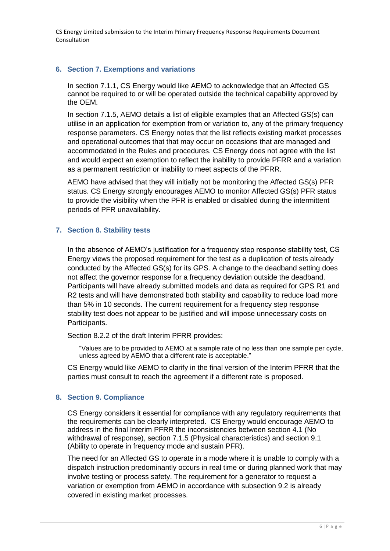# **6. Section 7. Exemptions and variations**

In section 7.1.1, CS Energy would like AEMO to acknowledge that an Affected GS cannot be required to or will be operated outside the technical capability approved by the OEM.

In section 7.1.5, AEMO details a list of eligible examples that an Affected GS(s) can utilise in an application for exemption from or variation to, any of the primary frequency response parameters. CS Energy notes that the list reflects existing market processes and operational outcomes that that may occur on occasions that are managed and accommodated in the Rules and procedures. CS Energy does not agree with the list and would expect an exemption to reflect the inability to provide PFRR and a variation as a permanent restriction or inability to meet aspects of the PFRR.

AEMO have advised that they will initially not be monitoring the Affected GS(s) PFR status. CS Energy strongly encourages AEMO to monitor Affected GS(s) PFR status to provide the visibility when the PFR is enabled or disabled during the intermittent periods of PFR unavailability.

## **7. Section 8. Stability tests**

In the absence of AEMO's justification for a frequency step response stability test, CS Energy views the proposed requirement for the test as a duplication of tests already conducted by the Affected GS(s) for its GPS. A change to the deadband setting does not affect the governor response for a frequency deviation outside the deadband. Participants will have already submitted models and data as required for GPS R1 and R2 tests and will have demonstrated both stability and capability to reduce load more than 5% in 10 seconds. The current requirement for a frequency step response stability test does not appear to be justified and will impose unnecessary costs on Participants.

Section 8.2.2 of the draft Interim PFRR provides:

"Values are to be provided to AEMO at a sample rate of no less than one sample per cycle, unless agreed by AEMO that a different rate is acceptable."

CS Energy would like AEMO to clarify in the final version of the Interim PFRR that the parties must consult to reach the agreement if a different rate is proposed.

## **8. Section 9. Compliance**

CS Energy considers it essential for compliance with any regulatory requirements that the requirements can be clearly interpreted. CS Energy would encourage AEMO to address in the final Interim PFRR the inconsistencies between section 4.1 (No withdrawal of response), section 7.1.5 (Physical characteristics) and section 9.1 (Ability to operate in frequency mode and sustain PFR).

The need for an Affected GS to operate in a mode where it is unable to comply with a dispatch instruction predominantly occurs in real time or during planned work that may involve testing or process safety. The requirement for a generator to request a variation or exemption from AEMO in accordance with subsection 9.2 is already covered in existing market processes.